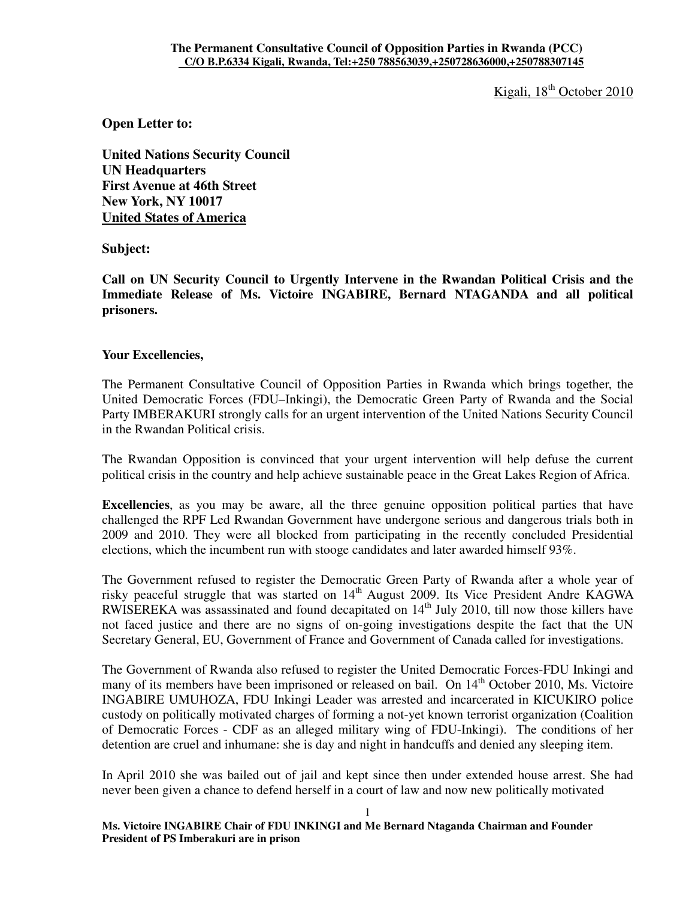Kigali, 18<sup>th</sup> October 2010

**Open Letter to:** 

**United Nations Security Council UN Headquarters First Avenue at 46th Street New York, NY 10017 United States of America** 

**Subject:** 

**Call on UN Security Council to Urgently Intervene in the Rwandan Political Crisis and the Immediate Release of Ms. Victoire INGABIRE, Bernard NTAGANDA and all political prisoners.** 

### **Your Excellencies,**

The Permanent Consultative Council of Opposition Parties in Rwanda which brings together, the United Democratic Forces (FDU–Inkingi), the Democratic Green Party of Rwanda and the Social Party IMBERAKURI strongly calls for an urgent intervention of the United Nations Security Council in the Rwandan Political crisis.

The Rwandan Opposition is convinced that your urgent intervention will help defuse the current political crisis in the country and help achieve sustainable peace in the Great Lakes Region of Africa.

**Excellencies**, as you may be aware, all the three genuine opposition political parties that have challenged the RPF Led Rwandan Government have undergone serious and dangerous trials both in 2009 and 2010. They were all blocked from participating in the recently concluded Presidential elections, which the incumbent run with stooge candidates and later awarded himself 93%.

The Government refused to register the Democratic Green Party of Rwanda after a whole year of risky peaceful struggle that was started on 14<sup>th</sup> August 2009. Its Vice President Andre KAGWA RWISEREKA was assassinated and found decapitated on 14<sup>th</sup> July 2010, till now those killers have not faced justice and there are no signs of on-going investigations despite the fact that the UN Secretary General, EU, Government of France and Government of Canada called for investigations.

The Government of Rwanda also refused to register the United Democratic Forces-FDU Inkingi and many of its members have been imprisoned or released on bail. On  $14<sup>th</sup>$  October 2010, Ms. Victoire INGABIRE UMUHOZA, FDU Inkingi Leader was arrested and incarcerated in KICUKIRO police custody on politically motivated charges of forming a not-yet known terrorist organization (Coalition of Democratic Forces - CDF as an alleged military wing of FDU-Inkingi). The conditions of her detention are cruel and inhumane: she is day and night in handcuffs and denied any sleeping item.

In April 2010 she was bailed out of jail and kept since then under extended house arrest. She had never been given a chance to defend herself in a court of law and now new politically motivated

1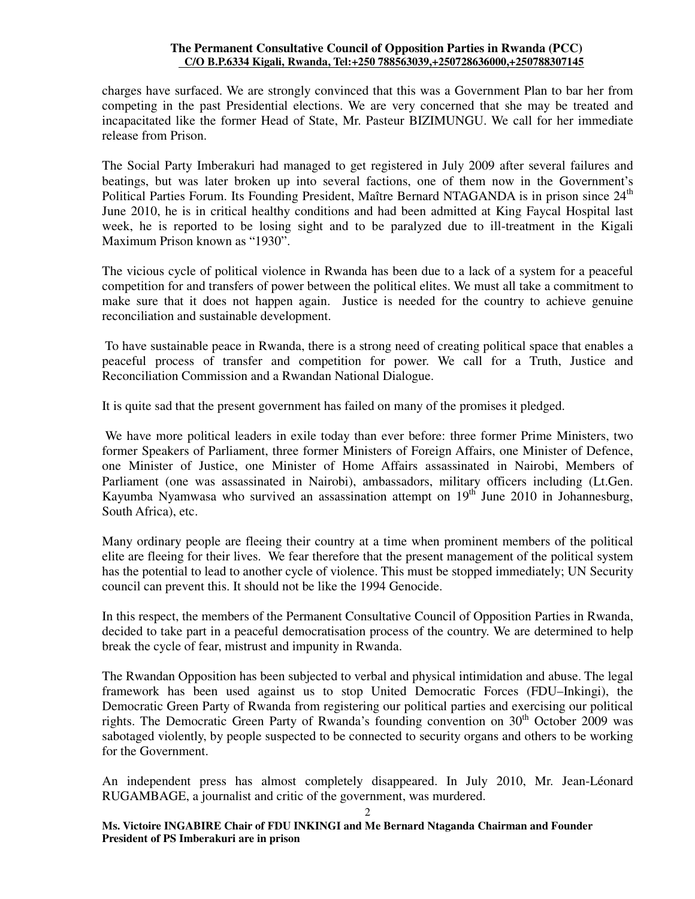#### **The Permanent Consultative Council of Opposition Parties in Rwanda (PCC) C/O B.P.6334 Kigali, Rwanda, Tel:+250 788563039,+250728636000,+250788307145**

charges have surfaced. We are strongly convinced that this was a Government Plan to bar her from competing in the past Presidential elections. We are very concerned that she may be treated and incapacitated like the former Head of State, Mr. Pasteur BIZIMUNGU. We call for her immediate release from Prison.

The Social Party Imberakuri had managed to get registered in July 2009 after several failures and beatings, but was later broken up into several factions, one of them now in the Government's Political Parties Forum. Its Founding President, Maître Bernard NTAGANDA is in prison since  $24<sup>th</sup>$ June 2010, he is in critical healthy conditions and had been admitted at King Faycal Hospital last week, he is reported to be losing sight and to be paralyzed due to ill-treatment in the Kigali Maximum Prison known as "1930".

The vicious cycle of political violence in Rwanda has been due to a lack of a system for a peaceful competition for and transfers of power between the political elites. We must all take a commitment to make sure that it does not happen again. Justice is needed for the country to achieve genuine reconciliation and sustainable development.

 To have sustainable peace in Rwanda, there is a strong need of creating political space that enables a peaceful process of transfer and competition for power. We call for a Truth, Justice and Reconciliation Commission and a Rwandan National Dialogue.

It is quite sad that the present government has failed on many of the promises it pledged.

 We have more political leaders in exile today than ever before: three former Prime Ministers, two former Speakers of Parliament, three former Ministers of Foreign Affairs, one Minister of Defence, one Minister of Justice, one Minister of Home Affairs assassinated in Nairobi, Members of Parliament (one was assassinated in Nairobi), ambassadors, military officers including (Lt.Gen. Kayumba Nyamwasa who survived an assassination attempt on  $19<sup>th</sup>$  June 2010 in Johannesburg, South Africa), etc.

Many ordinary people are fleeing their country at a time when prominent members of the political elite are fleeing for their lives. We fear therefore that the present management of the political system has the potential to lead to another cycle of violence. This must be stopped immediately; UN Security council can prevent this. It should not be like the 1994 Genocide.

In this respect, the members of the Permanent Consultative Council of Opposition Parties in Rwanda, decided to take part in a peaceful democratisation process of the country. We are determined to help break the cycle of fear, mistrust and impunity in Rwanda.

The Rwandan Opposition has been subjected to verbal and physical intimidation and abuse. The legal framework has been used against us to stop United Democratic Forces (FDU–Inkingi), the Democratic Green Party of Rwanda from registering our political parties and exercising our political rights. The Democratic Green Party of Rwanda's founding convention on  $30<sup>th</sup>$  October 2009 was sabotaged violently, by people suspected to be connected to security organs and others to be working for the Government.

An independent press has almost completely disappeared. In July 2010, Mr. Jean-Léonard RUGAMBAGE, a journalist and critic of the government, was murdered.